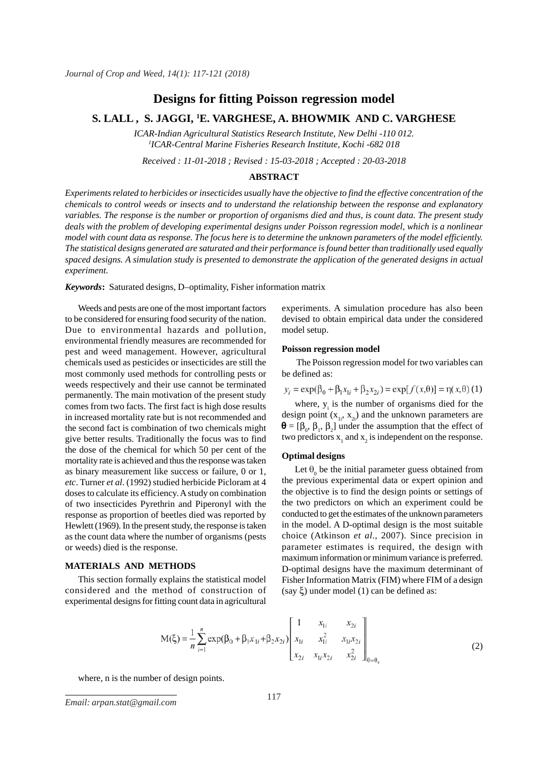# **Designs for fitting Poisson regression model**

# **S. LALL , S. JAGGI, 1 E. VARGHESE, A. BHOWMIK AND C. VARGHESE**

*ICAR-Indian Agricultural Statistics Research Institute, New Delhi -110 012. 1 ICAR-Central Marine Fisheries Research Institute, Kochi -682 018*

*Received : 11-01-2018 ; Revised : 15-03-2018 ; Accepted : 20-03-2018*

### **ABSTRACT**

*Experiments related to herbicides or insecticides usually have the objective to find the effective concentration of the chemicals to control weeds or insects and to understand the relationship between the response and explanatory variables. The response is the number or proportion of organisms died and thus, is count data. The present study deals with the problem of developing experimental designs under Poisson regression model, which is a nonlinear model with count data as response. The focus here is to determine the unknown parameters of the model efficiently. The statistical designs generated are saturated and their performance is found better than traditionally used equally spaced designs. A simulation study is presented to demonstrate the application of the generated designs in actual experiment.*

*Keywords***:** Saturated designs, D–optimality, Fisher information matrix

Weeds and pests are one of the most important factors to be considered for ensuring food security of the nation. Due to environmental hazards and pollution, environmental friendly measures are recommended for pest and weed management. However, agricultural chemicals used as pesticides or insecticides are still the most commonly used methods for controlling pests or weeds respectively and their use cannot be terminated permanently. The main motivation of the present study comes from two facts. The first fact is high dose results in increased mortality rate but is not recommended and the second fact is combination of two chemicals might give better results. Traditionally the focus was to find the dose of the chemical for which 50 per cent of the mortality rate is achieved and thus the response was taken as binary measurement like success or failure, 0 or 1, *etc*. Turner *et al*. (1992) studied herbicide Picloram at 4 doses to calculate its efficiency. A study on combination of two insecticides Pyrethrin and Piperonyl with the response as proportion of beetles died was reported by Hewlett (1969). In the present study, the response is taken as the count data where the number of organisms (pests or weeds) died is the response.

#### **MATERIALS AND METHODS**

This section formally explains the statistical model considered and the method of construction of experimental designs for fitting count data in agricultural experiments. A simulation procedure has also been devised to obtain empirical data under the considered model setup.

### **Poisson regression model**

 The Poisson regression model for two variables can be defined as:

$$
y_i = \exp(\beta_0 + \beta_1 x_{1i} + \beta_2 x_{2i}) = \exp[f(x, \theta)] = \eta(x, \theta)
$$
 (1)

where,  $y_i$  is the number of organisms died for the design point  $(x_{1i}, x_{2i})$  and the unknown parameters are  $\mathbf{\Theta} = [\beta_0, \beta_1, \beta_2]$  under the assumption that the effect of two predictors  $x_1$  and  $x_2$  is independent on the response.

#### **Optimal designs**

Let  $\theta_0$  be the initial parameter guess obtained from the previous experimental data or expert opinion and the objective is to find the design points or settings of the two predictors on which an experiment could be conducted to get the estimates of the unknown parameters in the model. A D-optimal design is the most suitable choice (Atkinson *et al*., 2007). Since precision in parameter estimates is required, the design with maximum information or minimum variance is preferred. D-optimal designs have the maximum determinant of Fisher Information Matrix (FIM) where FIM of a design  $(say \xi)$  under model (1) can be defined as:

$$
M(\xi) = \frac{1}{n} \sum_{i=1}^{n} \exp(\beta_0 + \beta_1 x_{1i} + \beta_2 x_{2i}) \begin{bmatrix} 1 & x_{1i} & x_{2i} \\ x_{1i} & x_{1i}^2 & x_{1i} x_{2i} \\ x_{2i} & x_{1i} x_{2i} & x_{2i}^2 \end{bmatrix}_{\theta = \theta_0}
$$
 (2)

where, n is the number of design points.

*J. Crop and Weed, 14(1)* 117 *Email: arpan.stat@gmail.com*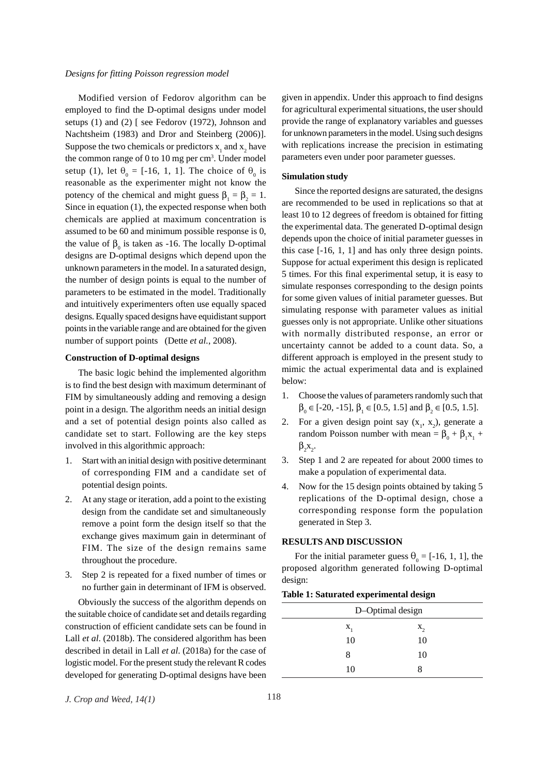#### *Designs for fitting Poisson regression model*

Modified version of Fedorov algorithm can be employed to find the D-optimal designs under model setups (1) and (2) [ see Fedorov (1972), Johnson and Nachtsheim (1983) and Dror and Steinberg (2006)]. Suppose the two chemicals or predictors  $x_1$  and  $x_2$  have the common range of  $0$  to  $10$  mg per cm<sup>3</sup>. Under model setup (1), let  $\theta_0 = [-16, 1, 1]$ . The choice of  $\theta_0$  is reasonable as the experimenter might not know the potency of the chemical and might guess  $\beta_1 = \beta_2 = 1$ . Since in equation (1), the expected response when both chemicals are applied at maximum concentration is assumed to be 60 and minimum possible response is 0, the value of  $\beta_0$  is taken as -16. The locally D-optimal designs are D-optimal designs which depend upon the unknown parameters in the model. In a saturated design, the number of design points is equal to the number of parameters to be estimated in the model. Traditionally and intuitively experimenters often use equally spaced designs. Equally spaced designs have equidistant support points in the variable range and are obtained for the given number of support points (Dette *et al.*, 2008).

### **Construction of D-optimal designs**

The basic logic behind the implemented algorithm is to find the best design with maximum determinant of FIM by simultaneously adding and removing a design point in a design. The algorithm needs an initial design and a set of potential design points also called as candidate set to start. Following are the key steps involved in this algorithmic approach:

- 1. Start with an initial design with positive determinant of corresponding FIM and a candidate set of potential design points.
- 2. At any stage or iteration, add a point to the existing design from the candidate set and simultaneously remove a point form the design itself so that the exchange gives maximum gain in determinant of FIM. The size of the design remains same throughout the procedure.
- 3. Step 2 is repeated for a fixed number of times or no further gain in determinant of IFM is observed.

Obviously the success of the algorithm depends on the suitable choice of candidate set and details regarding construction of efficient candidate sets can be found in Lall *et al*. (2018b). The considered algorithm has been described in detail in Lall *et al*. (2018a) for the case of logistic model. For the present study the relevant R codes developed for generating D-optimal designs have been given in appendix. Under this approach to find designs for agricultural experimental situations, the user should provide the range of explanatory variables and guesses for unknown parameters in the model. Using such designs with replications increase the precision in estimating parameters even under poor parameter guesses.

## **Simulation study**

Since the reported designs are saturated, the designs are recommended to be used in replications so that at least 10 to 12 degrees of freedom is obtained for fitting the experimental data. The generated D-optimal design depends upon the choice of initial parameter guesses in this case [-16, 1, 1] and has only three design points. Suppose for actual experiment this design is replicated 5 times. For this final experimental setup, it is easy to simulate responses corresponding to the design points for some given values of initial parameter guesses. But simulating response with parameter values as initial guesses only is not appropriate. Unlike other situations with normally distributed response, an error or uncertainty cannot be added to a count data. So, a different approach is employed in the present study to mimic the actual experimental data and is explained below:

- 1. Choose the values of parameters randomly such that  $\beta_0 \in [-20, -15], \beta_1 \in [0.5, 1.5]$  and  $\beta_2 \in [0.5, 1.5].$
- 2. For a given design point say  $(x_1, x_2)$ , generate a random Poisson number with mean =  $\beta_0 + \beta_1 x_1 +$  $\beta_2 x_2$ .
- 3. Step 1 and 2 are repeated for about 2000 times to make a population of experimental data.
- 4. Now for the 15 design points obtained by taking 5 replications of the D-optimal design, chose a corresponding response form the population generated in Step 3.

### **RESULTS AND DISCUSSION**

For the initial parameter guess  $\theta_0 = [-16, 1, 1]$ , the proposed algorithm generated following D-optimal design:

### **Table 1: Saturated experimental design**

| D-Optimal design |    |  |  |  |  |
|------------------|----|--|--|--|--|
| Х,               |    |  |  |  |  |
| 10               | 10 |  |  |  |  |
|                  | 10 |  |  |  |  |
| 10               |    |  |  |  |  |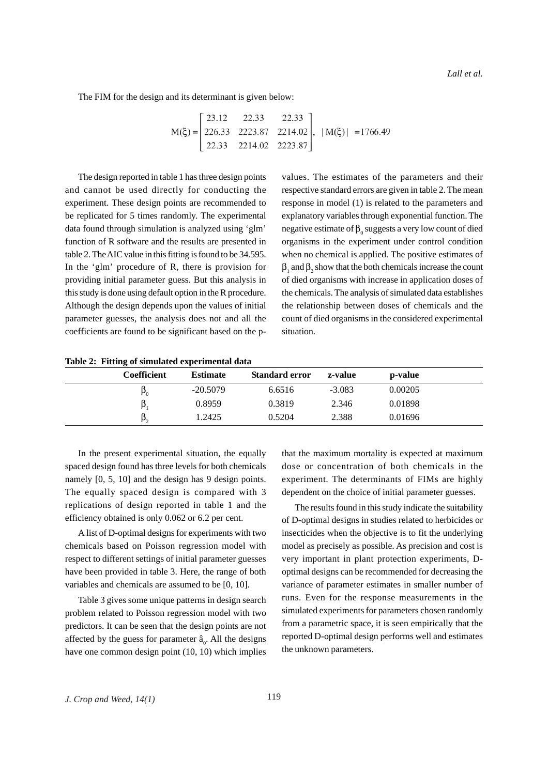The FIM for the design and its determinant is given below:

$$
M(\xi) = \begin{bmatrix} 23.12 & 22.33 & 22.33 \\ 226.33 & 2223.87 & 2214.02 \\ 22.33 & 2214.02 & 2223.87 \end{bmatrix}, |M(\xi)| = 1766.49
$$

The design reported in table 1 has three design points and cannot be used directly for conducting the experiment. These design points are recommended to be replicated for 5 times randomly. The experimental data found through simulation is analyzed using 'glm' function of R software and the results are presented in table 2. The AIC value in this fitting is found to be 34.595. In the 'glm' procedure of R, there is provision for providing initial parameter guess. But this analysis in this study is done using default option in the R procedure. Although the design depends upon the values of initial parameter guesses, the analysis does not and all the coefficients are found to be significant based on the pvalues. The estimates of the parameters and their respective standard errors are given in table 2. The mean response in model (1) is related to the parameters and explanatory variables through exponential function. The negative estimate of  $\beta_0$  suggests a very low count of died organisms in the experiment under control condition when no chemical is applied. The positive estimates of  $\beta_1$  and  $\beta_2$  show that the both chemicals increase the count of died organisms with increase in application doses of the chemicals. The analysis of simulated data establishes the relationship between doses of chemicals and the count of died organisms in the considered experimental situation.

**Table 2: Fitting of simulated experimental data**

| Coefficient    | <b>Estimate</b> | <b>Standard error</b> | z-value  | p-value |  |
|----------------|-----------------|-----------------------|----------|---------|--|
| P <sub>0</sub> | $-20.5079$      | 6.6516                | $-3.083$ | 0.00205 |  |
| β              | 0.8959          | 0.3819                | 2.346    | 0.01898 |  |
| Þ,             | 1.2425          | 0.5204                | 2.388    | 0.01696 |  |

In the present experimental situation, the equally spaced design found has three levels for both chemicals namely [0, 5, 10] and the design has 9 design points. The equally spaced design is compared with 3 replications of design reported in table 1 and the efficiency obtained is only 0.062 or 6.2 per cent.

A list of D-optimal designs for experiments with two chemicals based on Poisson regression model with respect to different settings of initial parameter guesses have been provided in table 3. Here, the range of both variables and chemicals are assumed to be [0, 10].

Table 3 gives some unique patterns in design search problem related to Poisson regression model with two predictors. It can be seen that the design points are not affected by the guess for parameter  $\hat{a}_0$ . All the designs have one common design point (10, 10) which implies that the maximum mortality is expected at maximum dose or concentration of both chemicals in the experiment. The determinants of FIMs are highly dependent on the choice of initial parameter guesses.

The results found in this study indicate the suitability of D-optimal designs in studies related to herbicides or insecticides when the objective is to fit the underlying model as precisely as possible. As precision and cost is very important in plant protection experiments, Doptimal designs can be recommended for decreasing the variance of parameter estimates in smaller number of runs. Even for the response measurements in the simulated experiments for parameters chosen randomly from a parametric space, it is seen empirically that the reported D-optimal design performs well and estimates the unknown parameters.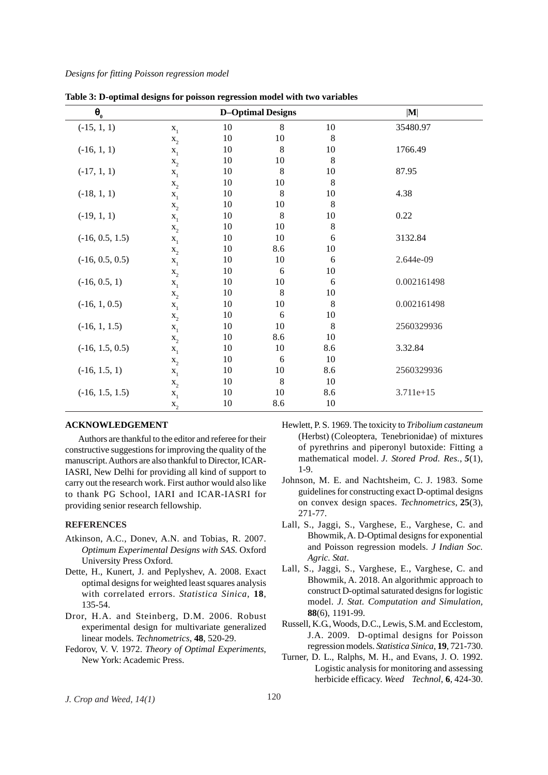| $\pmb{\theta}_{_{\!0}}$ |                  |    | <b>D-Optimal Designs</b> |         | $ \mathbf{M} $ |
|-------------------------|------------------|----|--------------------------|---------|----------------|
| $(-15, 1, 1)$           | $\mathbf{x}_{1}$ | 10 | $\,8\,$                  | $10\,$  | 35480.97       |
|                         | $\mathbf{x}_2$   | 10 | 10                       | 8       |                |
| $(-16, 1, 1)$           | $\mathbf{x}_{1}$ | 10 | $\,8\,$                  | 10      | 1766.49        |
|                         | $\mathbf{x}_{2}$ | 10 | 10                       | 8       |                |
| $(-17, 1, 1)$           | $X_1$            | 10 | 8                        | 10      | 87.95          |
|                         | $\mathbf{x}_2$   | 10 | 10                       | 8       |                |
| $(-18, 1, 1)$           | $\mathbf{x}_{1}$ | 10 | $\,$ 8 $\,$              | 10      | 4.38           |
|                         | $\mathbf{x}_2$   | 10 | 10                       | 8       |                |
| $(-19, 1, 1)$           | $X_1$            | 10 | 8                        | 10      | 0.22           |
|                         | $\mathbf{x}_{2}$ | 10 | 10                       | $\,8\,$ |                |
| $(-16, 0.5, 1.5)$       | $\mathbf{x}_{1}$ | 10 | 10                       | 6       | 3132.84        |
|                         | $\mathbf{x}_2$   | 10 | 8.6                      | 10      |                |
| $(-16, 0.5, 0.5)$       | $X_1$            | 10 | 10                       | 6       | 2.644e-09      |
|                         | $\mathbf{x}_2$   | 10 | 6                        | 10      |                |
| $(-16, 0.5, 1)$         | $\mathbf{x}_{1}$ | 10 | 10                       | 6       | 0.002161498    |
|                         | $X_2$            | 10 | 8                        | 10      |                |
| $(-16, 1, 0.5)$         | $X_1$            | 10 | 10                       | 8       | 0.002161498    |
|                         | $\mathbf{x}_2$   | 10 | 6                        | 10      |                |
| $(-16, 1, 1.5)$         | $X_1$            | 10 | 10                       | 8       | 2560329936     |
|                         | $\mathbf{x}_{2}$ | 10 | 8.6                      | 10      |                |
| $(-16, 1.5, 0.5)$       | $X_1$            | 10 | 10                       | 8.6     | 3.32.84        |
|                         | $x_2$            | 10 | 6                        | 10      |                |
| $(-16, 1.5, 1)$         | $\mathbf{x}_{1}$ | 10 | 10                       | 8.6     | 2560329936     |
|                         | $\mathbf{x}_2$   | 10 | $\,8\,$                  | 10      |                |
| $(-16, 1.5, 1.5)$       | $\mathbf{x}_1$   | 10 | $10\,$                   | 8.6     | $3.711e + 15$  |
|                         | $\mathbf{x}_{2}$ | 10 | 8.6                      | 10      |                |

**Table 3: D-optimal designs for poisson regression model with two variables**

#### **ACKNOWLEDGEMENT**

Authors are thankful to the editor and referee for their constructive suggestions for improving the quality of the manuscript. Authors are also thankful to Director, ICAR-IASRI, New Delhi for providing all kind of support to carry out the research work. First author would also like to thank PG School, IARI and ICAR-IASRI for providing senior research fellowship.

### **REFERENCES**

- Atkinson, A.C., Donev, A.N. and Tobias, R. 2007. *Optimum Experimental Designs with SAS.* Oxford University Press Oxford.
- Dette, H., Kunert, J. and Peplyshev, A. 2008. Exact optimal designs for weighted least squares analysis with correlated errors. *Statistica Sinica*, **18**, 135-54.
- Dror, H.A. and Steinberg, D.M. 2006. Robust experimental design for multivariate generalized linear models. *Technometrics*, **48**, 520-29.
- Fedorov, V. V. 1972. *Theory of Optimal Experiments*, New York: Academic Press.
- Hewlett, P. S. 1969. The toxicity to *Tribolium castaneum* (Herbst) (Coleoptera, Tenebrionidae) of mixtures of pyrethrins and piperonyl butoxide: Fitting a mathematical model. *J. Stored Prod. Res.*, *5*(1), 1-9.
- Johnson, M. E. and Nachtsheim, C. J. 1983. Some guidelines for constructing exact D-optimal designs on convex design spaces. *Technometrics*, **25**(3), 271-77.
- Lall, S., Jaggi, S., Varghese, E., Varghese, C. and Bhowmik, A. D-Optimal designs for exponential and Poisson regression models. *J Indian Soc. Agric. Stat*.
- Lall, S., Jaggi, S., Varghese, E., Varghese, C. and Bhowmik, A. 2018. An algorithmic approach to construct D-optimal saturated designs for logistic model. *J. Stat. Computation and Simulation,* **88**(6), 1191-99.
- Russell, K.G., Woods, D.C., Lewis, S.M. and Ecclestom, J.A. 2009. D-optimal designs for Poisson regression models. *Statistica Sinica*, **19**, 721-730.
- Turner, D. L., Ralphs, M. H., and Evans, J. O. 1992. Logistic analysis for monitoring and assessing herbicide efficacy. *Weed Technol*, **6**, 424-30.

*J. Crop and Weed, 14(1)* 120